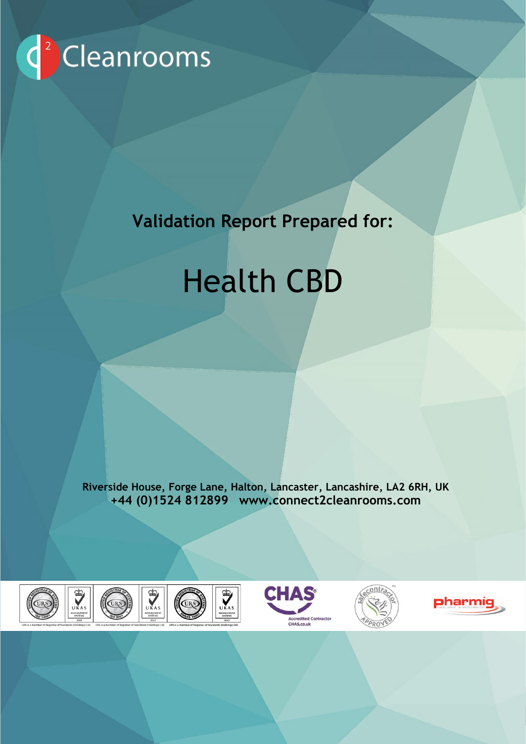

# **Validation Report Prepared for:**

UK & Europe's leading Cleanroom provider

# Health CBD

**Riverside House, Forge Lane, Halton, Lancaster, Lancashire, LA2 6RH, UK +44 (0)1524 812899 www.connect2cleanrooms.com**

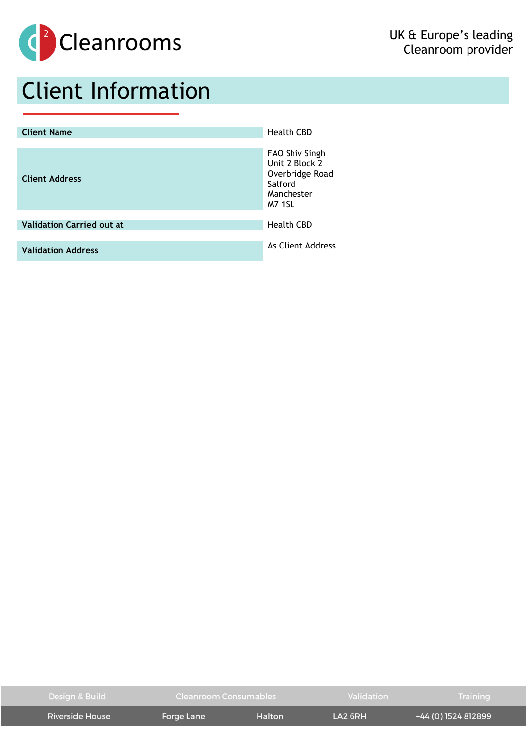

# Client Information

| <b>Client Name</b>               | <b>Health CBD</b>                                                                             |
|----------------------------------|-----------------------------------------------------------------------------------------------|
| <b>Client Address</b>            | FAO Shiv Singh<br>Unit 2 Block 2<br>Overbridge Road<br>Salford<br>Manchester<br><b>M7 1SL</b> |
| <b>Validation Carried out at</b> | <b>Health CBD</b>                                                                             |
|                                  |                                                                                               |
| <b>Validation Address</b>        | As Client Address                                                                             |

| Design & Build  | Cleanroom Consumables |        | Validation                        | <b>Training</b>     |
|-----------------|-----------------------|--------|-----------------------------------|---------------------|
| Riverside House | Forge Lane            | Halton | $\overline{1}$ A <sub>2</sub> 6RH | +44 (0) 1524 812899 |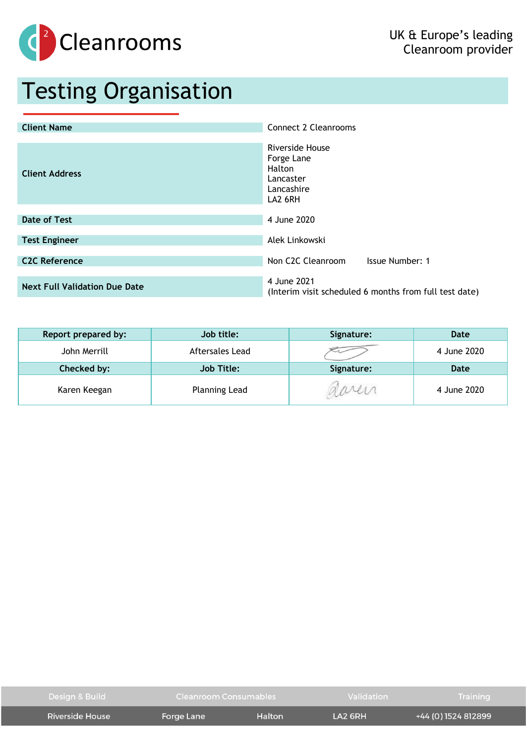

# Testing Organisation

| <b>Client Name</b>                   | Connect 2 Cleanrooms                                                          |
|--------------------------------------|-------------------------------------------------------------------------------|
| <b>Client Address</b>                | Riverside House<br>Forge Lane<br>Halton<br>Lancaster<br>Lancashire<br>LA2 6RH |
| <b>Date of Test</b>                  | 4 June 2020                                                                   |
| <b>Test Engineer</b>                 | Alek Linkowski                                                                |
| <b>C2C Reference</b>                 | Non C <sub>2</sub> C Cleanroom<br><b>Issue Number: 1</b>                      |
| <b>Next Full Validation Due Date</b> | 4 June 2021<br>(Interim visit scheduled 6 months from full test date)         |

| Report prepared by: | Job title:           | Signature: | Date        |
|---------------------|----------------------|------------|-------------|
| John Merrill        | Aftersales Lead      |            | 4 June 2020 |
| Checked by:         | <b>Job Title:</b>    | Signature: | <b>Date</b> |
| Karen Keegan        | <b>Planning Lead</b> |            | 4 June 2020 |

| Design & Build  | Cleanroom Consumables |        | Validation | Training            |
|-----------------|-----------------------|--------|------------|---------------------|
| Riverside House | Forge Lane            | Halton | LA2 6RH    | +44 (0) 1524 812899 |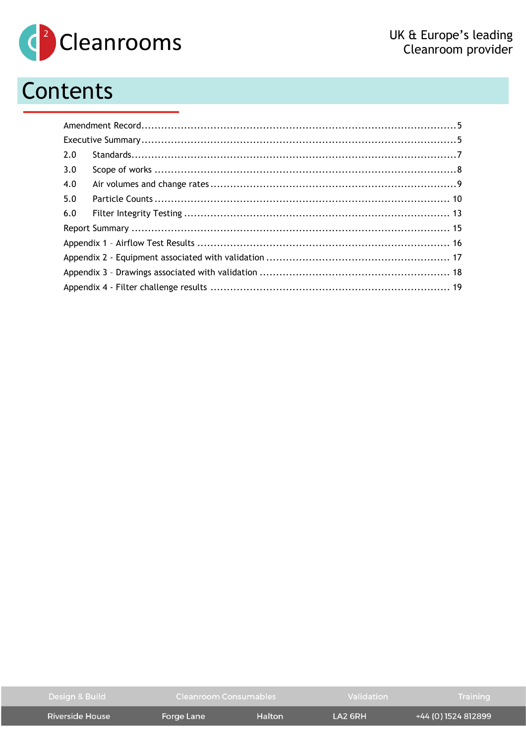

# Contents

| 2.0 |  |
|-----|--|
| 3.0 |  |
| 4.0 |  |
| 5.0 |  |
| 6.0 |  |
|     |  |
|     |  |
|     |  |
|     |  |
|     |  |

| Design & Build  | Cleanroom Consumables |        | Validation                        | Training            |
|-----------------|-----------------------|--------|-----------------------------------|---------------------|
| Riverside House | Forge Lane            | Halton | $\overline{1}$ A <sub>2</sub> 6RH | +44 (0) 1524 812899 |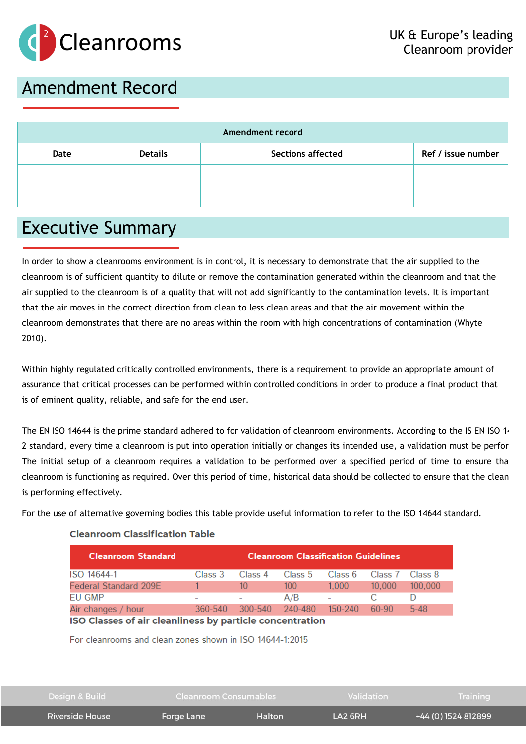

## <span id="page-4-0"></span>Amendment Record

| Amendment record |                    |  |  |  |  |
|------------------|--------------------|--|--|--|--|
| Date             | Ref / issue number |  |  |  |  |
|                  |                    |  |  |  |  |
|                  |                    |  |  |  |  |

### <span id="page-4-1"></span>Executive Summary

In order to show a cleanrooms environment is in control, it is necessary to demonstrate that the air supplied to the cleanroom is of sufficient quantity to dilute or remove the contamination generated within the cleanroom and that the air supplied to the cleanroom is of a quality that will not add significantly to the contamination levels. It is important that the air moves in the correct direction from clean to less clean areas and that the air movement within the cleanroom demonstrates that there are no areas within the room with high concentrations of contamination (Whyte 2010).

Within highly regulated critically controlled environments, there is a requirement to provide an appropriate amount of assurance that critical processes can be performed within controlled conditions in order to produce a final product that is of eminent quality, reliable, and safe for the end user.

The EN ISO 14644 is the prime standard adhered to for validation of cleanroom environments. According to the IS EN ISO 14 2 standard, every time a cleanroom is put into operation initially or changes its intended use, a validation must be perfor The initial setup of a cleanroom requires a validation to be performed over a specified period of time to ensure tha cleanroom is functioning as required. Over this period of time, historical data should be collected to ensure that the cleanroom is performing effectively.

For the use of alternative governing bodies this table provide useful information to refer to the ISO 14644 standard.

| <b>Cleanroom Standard</b>                                | <b>Cleanroom Classification Guidelines</b> |         |                 |             |         |         |  |
|----------------------------------------------------------|--------------------------------------------|---------|-----------------|-------------|---------|---------|--|
| ISO 14644-1                                              | Class 3                                    | Class 4 | Class 5         | Class 6     | Class 7 | Class 8 |  |
| <b>Federal Standard 209E</b>                             |                                            | 10      | 100             | 1.000       | 10.000  | 100.000 |  |
| EU GMP                                                   |                                            |         | A/B             |             |         |         |  |
| Air changes / hour                                       | 360-540                                    |         | 300-540 240-480 | $150 - 240$ | 60-90   | $5-48$  |  |
| ISO Classes of air cleanliness by particle concentration |                                            |         |                 |             |         |         |  |

### **Cleanroom Classification Table**

For cleanrooms and clean zones shown in ISO 14644-1:2015

| Design & Build  | Cleanroom Consumables |        | Validation                        | Training            |
|-----------------|-----------------------|--------|-----------------------------------|---------------------|
| Riverside House | Forge Lane            | Halton | $\overline{1}$ A <sub>2</sub> 6RH | +44 (0) 1524 812899 |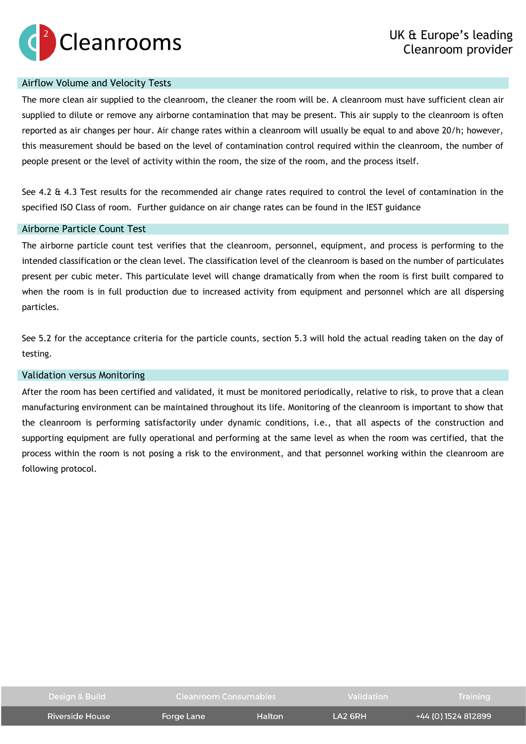

### Airflow Volume and Velocity Tests

The more clean air supplied to the cleanroom, the cleaner the room will be. A cleanroom must have sufficient clean air supplied to dilute or remove any airborne contamination that may be present. This air supply to the cleanroom is often reported as air changes per hour. Air change rates within a cleanroom will usually be equal to and above 20/h; however, this measurement should be based on the level of contamination control required within the cleanroom, the number of people present or the level of activity within the room, the size of the room, and the process itself.

See 4.2  $\hat{\alpha}$  4.3 Test results for the recommended air change rates required to control the level of contamination in the specified ISO Class of room. Further guidance on air change rates can be found in the IEST guidance

### Airborne Particle Count Test

The airborne particle count test verifies that the cleanroom, personnel, equipment, and process is performing to the intended classification or the clean level. The classification level of the cleanroom is based on the number of particulates present per cubic meter. This particulate level will change dramatically from when the room is first built compared to when the room is in full production due to increased activity from equipment and personnel which are all dispersing particles.

See 5.2 for the acceptance criteria for the particle counts, section 5.3 will hold the actual reading taken on the day of testing.

### Validation versus Monitoring

After the room has been certified and validated, it must be monitored periodically, relative to risk, to prove that a clean manufacturing environment can be maintained throughout its life. Monitoring of the cleanroom is important to show that the cleanroom is performing satisfactorily under dynamic conditions, i.e., that all aspects of the construction and supporting equipment are fully operational and performing at the same level as when the room was certified, that the process within the room is not posing a risk to the environment, and that personnel working within the cleanroom are following protocol.

| Design & Build  | <b>Cleanroom Consumables</b> |        | Validation | <b>Training</b>     |
|-----------------|------------------------------|--------|------------|---------------------|
| Riverside House | Forge Lane                   | Halton | $IA2$ GRH  | +44 (0) 1524 812899 |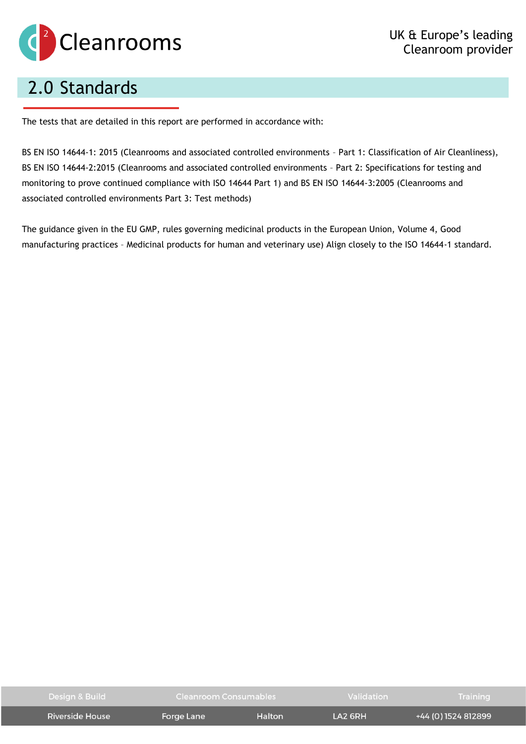

# <span id="page-6-0"></span>2.0 Standards

The tests that are detailed in this report are performed in accordance with:

BS EN ISO 14644-1: 2015 (Cleanrooms and associated controlled environments – Part 1: Classification of Air Cleanliness), BS EN ISO 14644-2:2015 (Cleanrooms and associated controlled environments – Part 2: Specifications for testing and monitoring to prove continued compliance with ISO 14644 Part 1) and BS EN ISO 14644-3:2005 (Cleanrooms and associated controlled environments Part 3: Test methods)

The guidance given in the EU GMP, rules governing medicinal products in the European Union, Volume 4, Good manufacturing practices – Medicinal products for human and veterinary use) Align closely to the ISO 14644-1 standard.

| Design & Build  | Cleanroom Consumables |        | Validation                        |                     | Training |
|-----------------|-----------------------|--------|-----------------------------------|---------------------|----------|
| Riverside House | Forge Lane            | Halton | $\overline{1}$ A <sub>2</sub> 6RH | +44 (0) 1524 812899 |          |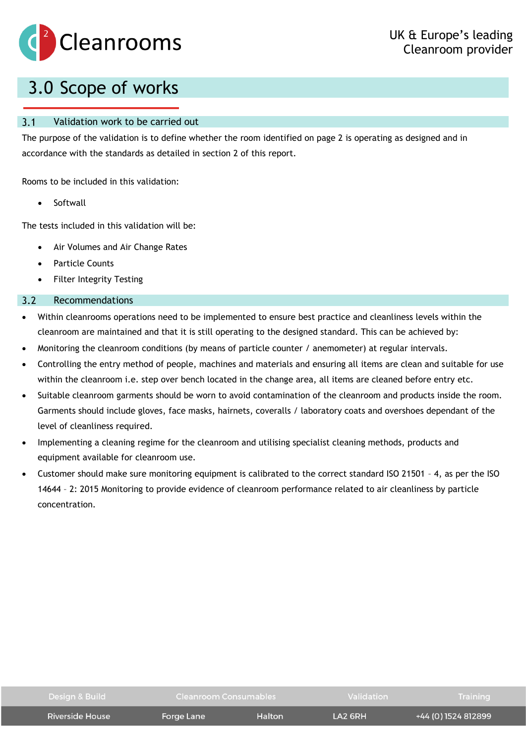

## <span id="page-7-0"></span>3.0 Scope of works

#### $3.1$ Validation work to be carried out

The purpose of the validation is to define whether the room identified on page 2 is operating as designed and in accordance with the standards as detailed in section 2 of this report.

Rooms to be included in this validation:

**Softwall** 

The tests included in this validation will be:

- Air Volumes and Air Change Rates
- Particle Counts
- Filter Integrity Testing

#### $3.2$ Recommendations

- Within cleanrooms operations need to be implemented to ensure best practice and cleanliness levels within the cleanroom are maintained and that it is still operating to the designed standard. This can be achieved by:
- Monitoring the cleanroom conditions (by means of particle counter / anemometer) at regular intervals.
- Controlling the entry method of people, machines and materials and ensuring all items are clean and suitable for use within the cleanroom i.e. step over bench located in the change area, all items are cleaned before entry etc.
- Suitable cleanroom garments should be worn to avoid contamination of the cleanroom and products inside the room. Garments should include gloves, face masks, hairnets, coveralls / laboratory coats and overshoes dependant of the level of cleanliness required.
- Implementing a cleaning regime for the cleanroom and utilising specialist cleaning methods, products and equipment available for cleanroom use.
- Customer should make sure monitoring equipment is calibrated to the correct standard ISO 21501 4, as per the ISO 14644 – 2: 2015 Monitoring to provide evidence of cleanroom performance related to air cleanliness by particle concentration.

| Design & Build         | <b>Cleanroom Consumables</b> |        | Validation          | Training            |
|------------------------|------------------------------|--------|---------------------|---------------------|
| <b>Riverside House</b> | Forge Lane                   | Halton | LA <sub>2</sub> 6RH | +44 (0) 1524 812899 |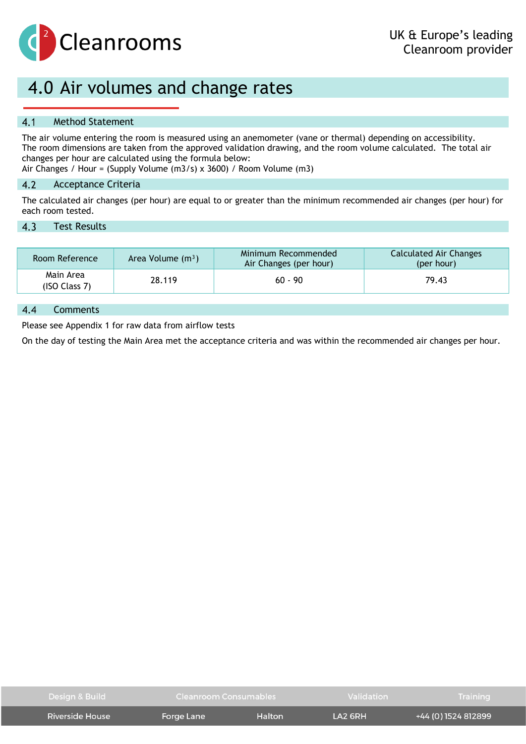

### <span id="page-8-0"></span>4.0 Air volumes and change rates

#### $4.1$ Method Statement

The air volume entering the room is measured using an anemometer (vane or thermal) depending on accessibility. The room dimensions are taken from the approved validation drawing, and the room volume calculated. The total air changes per hour are calculated using the formula below: Air Changes / Hour = (Supply Volume (m3/s) x 3600) / Room Volume (m3)

 $4.2$ Acceptance Criteria

The calculated air changes (per hour) are equal to or greater than the minimum recommended air changes (per hour) for each room tested.

#### $4.3$ Test Results

| Room Reference             | Area Volume $(m^3)$ | Minimum Recommended<br>Air Changes (per hour) | Calculated Air Changes<br>(per hour) |
|----------------------------|---------------------|-----------------------------------------------|--------------------------------------|
| Main Area<br>(ISO Class 7) | 28.119              | $60 - 90$                                     | 79.43                                |

#### $4.4$ Comments

Please see Appendix 1 for raw data from airflow tests

On the day of testing the Main Area met the acceptance criteria and was within the recommended air changes per hour.

| Design & Build  | Cleanroom Consumables |        | <b>Validation</b> | Training            |
|-----------------|-----------------------|--------|-------------------|---------------------|
| Riverside House | Forge Lane            | Halton | $IA2$ GRH         | +44 (0) 1524 812899 |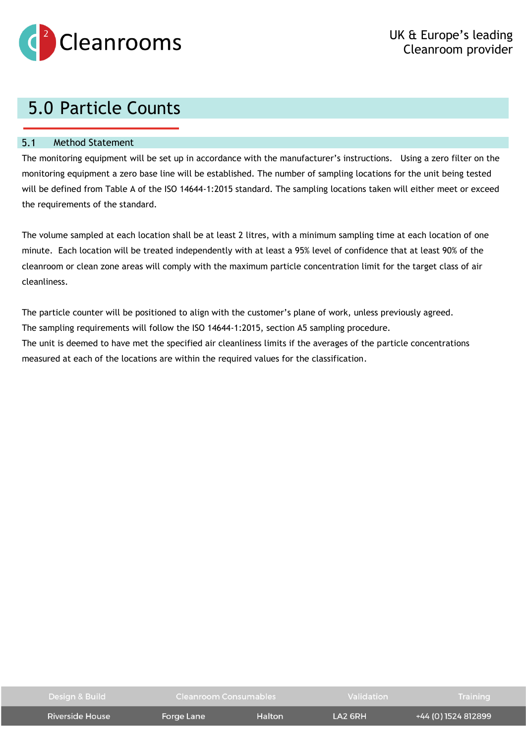

# <span id="page-9-0"></span>5.0 Particle Counts

#### $5.1$ Method Statement

The monitoring equipment will be set up in accordance with the manufacturer's instructions. Using a zero filter on the monitoring equipment a zero base line will be established. The number of sampling locations for the unit being tested will be defined from Table A of the ISO 14644-1:2015 standard. The sampling locations taken will either meet or exceed the requirements of the standard.

The volume sampled at each location shall be at least 2 litres, with a minimum sampling time at each location of one minute. Each location will be treated independently with at least a 95% level of confidence that at least 90% of the cleanroom or clean zone areas will comply with the maximum particle concentration limit for the target class of air cleanliness.

The particle counter will be positioned to align with the customer's plane of work, unless previously agreed. The sampling requirements will follow the ISO 14644-1:2015, section A5 sampling procedure. The unit is deemed to have met the specified air cleanliness limits if the averages of the particle concentrations measured at each of the locations are within the required values for the classification.

| Design & Build  | Cleanroom Consumables |        | Validation                        | Training            |
|-----------------|-----------------------|--------|-----------------------------------|---------------------|
| Riverside House | Forge Lane            | Halton | $\overline{1}$ A <sub>2</sub> 6RH | +44 (0) 1524 812899 |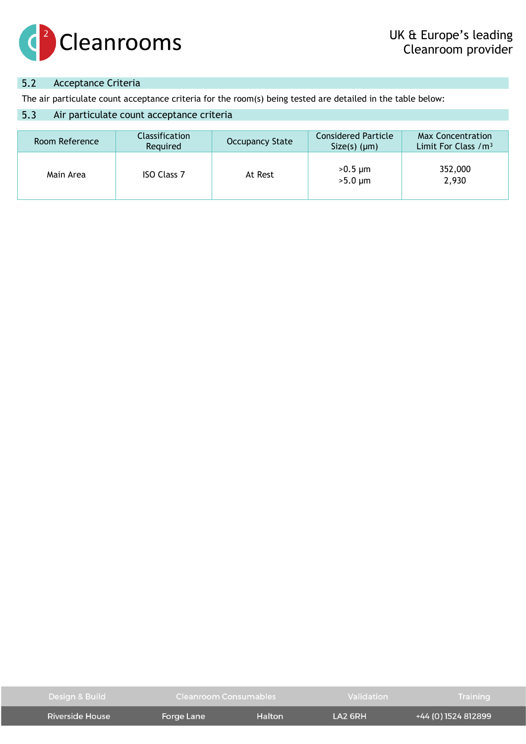

#### $5.2$ Acceptance Criteria

The air particulate count acceptance criteria for the room(s) being tested are detailed in the table below:

#### $5.3$ Air particulate count acceptance criteria

| Room Reference | <b>Classification</b><br>Required | <b>Occupancy State</b> | <b>Considered Particle</b><br>$Size(s)$ ( $µm$ ) | Max Concentration<br>Limit For Class / m <sup>3</sup> |
|----------------|-----------------------------------|------------------------|--------------------------------------------------|-------------------------------------------------------|
| Main Area      | <b>ISO Class 7</b>                | At Rest                | $>0.5 \mu m$<br>$>5.0 \mu m$                     | 352,000<br>2,930                                      |

| Design & Build      | Cleanroom Consumables |        | Validation          | <b>Training</b>     |
|---------------------|-----------------------|--------|---------------------|---------------------|
| : Riverside House 1 | Forge Lane            | Halton | LA <sub>2</sub> 6RH | +44 (0) 1524 812899 |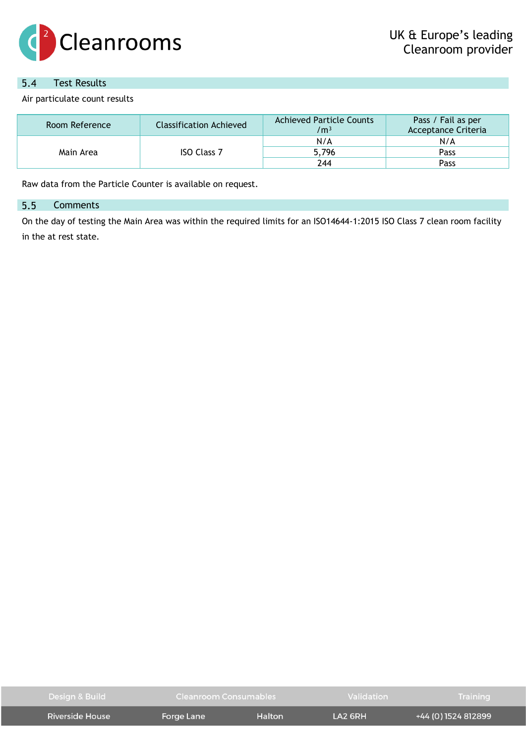

#### $5.4$ Test Results

Air particulate count results

| Room Reference | Classification Achieved | <b>Achieved Particle Counts</b><br>$\text{/m}^3$ | Pass / Fail as per<br><b>Acceptance Criteria</b> |
|----------------|-------------------------|--------------------------------------------------|--------------------------------------------------|
| Main Area      |                         | N/A                                              | N/A                                              |
|                | <b>ISO Class 7</b>      | 5,796                                            | Pass                                             |
|                |                         | 244                                              | Pass                                             |

Raw data from the Particle Counter is available on request.

#### 5.5 **Comments**

On the day of testing the Main Area was within the required limits for an ISO14644-1:2015 ISO Class 7 clean room facility in the at rest state.

| Design & Build  | Cleanroom Consumables |        | Validation                        | Training            |
|-----------------|-----------------------|--------|-----------------------------------|---------------------|
| Riverside House | Forge Lane            | Halton | $\overline{1}$ A <sub>2</sub> 6RH | +44 (0) 1524 812899 |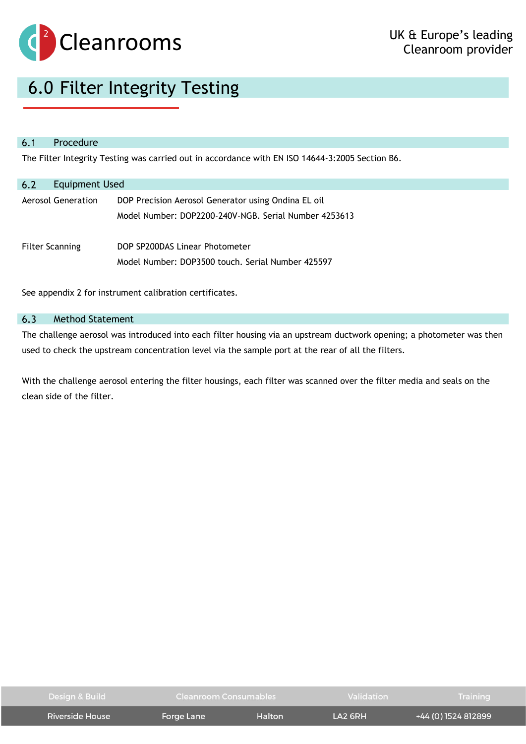

## <span id="page-12-0"></span>6.0 Filter Integrity Testing

#### $6.1$ Procedure

The Filter Integrity Testing was carried out in accordance with EN ISO 14644-3:2005 Section B6.

| <b>Equipment Used</b><br>6.2 |                                                                                                              |
|------------------------------|--------------------------------------------------------------------------------------------------------------|
| Aerosol Generation           | DOP Precision Aerosol Generator using Ondina EL oil<br>Model Number: DOP2200-240V-NGB. Serial Number 4253613 |
| <b>Filter Scanning</b>       | DOP SP200DAS Linear Photometer<br>Model Number: DOP3500 touch. Serial Number 425597                          |

See appendix 2 for instrument calibration certificates.

#### $6.3$ Method Statement

The challenge aerosol was introduced into each filter housing via an upstream ductwork opening; a photometer was then used to check the upstream concentration level via the sample port at the rear of all the filters.

With the challenge aerosol entering the filter housings, each filter was scanned over the filter media and seals on the clean side of the filter.

| Design & Build  | Cleanroom Consumables |               | <b>Validation</b> | <b>Training</b>     |
|-----------------|-----------------------|---------------|-------------------|---------------------|
| Riverside House | Forge Lane            | <b>Halton</b> | $IA2$ GRH         | +44 (0) 1524 812899 |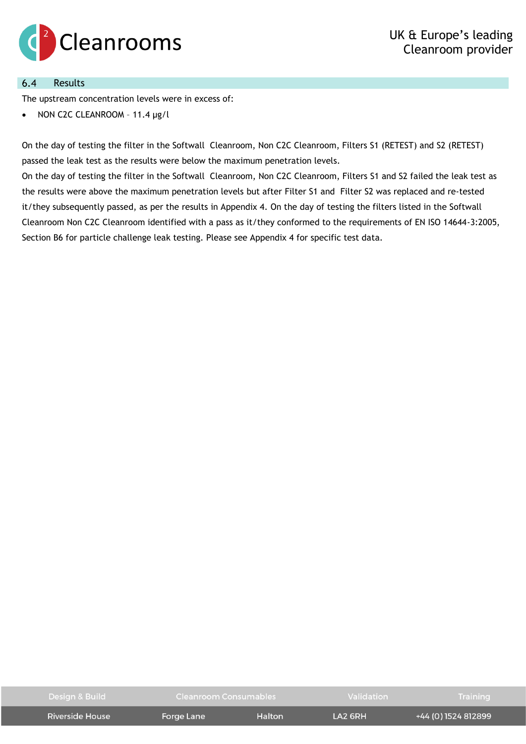

#### Results  $6.4$

The upstream concentration levels were in excess of:

• NON C2C CLEANROOM – 11.4 μg/l

On the day of testing the filter in the Softwall Cleanroom, Non C2C Cleanroom, Filters S1 (RETEST) and S2 (RETEST) passed the leak test as the results were below the maximum penetration levels.

On the day of testing the filter in the Softwall Cleanroom, Non C2C Cleanroom, Filters S1 and S2 failed the leak test as the results were above the maximum penetration levels but after Filter S1 and Filter S2 was replaced and re-tested it/they subsequently passed, as per the results in Appendix 4. On the day of testing the filters listed in the Softwall Cleanroom Non C2C Cleanroom identified with a pass as it/they conformed to the requirements of EN ISO 14644-3:2005, Section B6 for particle challenge leak testing. Please see Appendix 4 for specific test data.

| Design & Build  | Cleanroom Consumables |        | Validation | Training            |
|-----------------|-----------------------|--------|------------|---------------------|
| Riverside House | Forge Lane            | Halton | LA2 6RH    | +44 (0) 1524 812899 |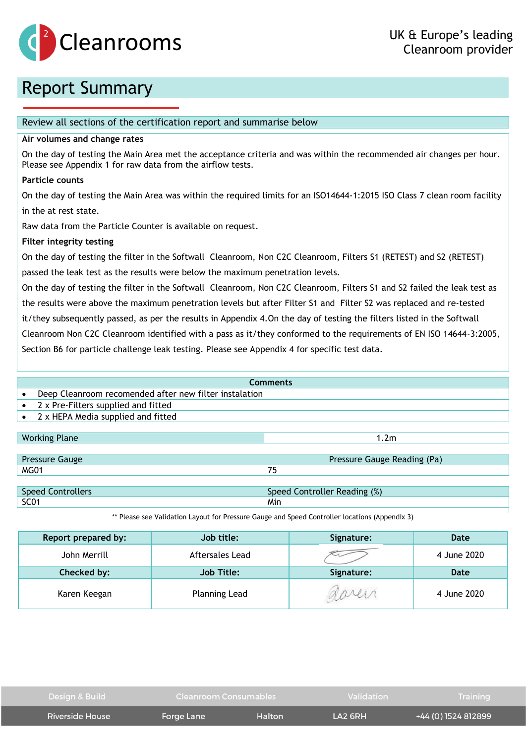

## <span id="page-14-0"></span>Report Summary

### Review all sections of the certification report and summarise below

### **Air volumes and change rates**

On the day of testing the Main Area met the acceptance criteria and was within the recommended air changes per hour. Please see Appendix 1 for raw data from the airflow tests.

### **Particle counts**

On the day of testing the Main Area was within the required limits for an ISO14644-1:2015 ISO Class 7 clean room facility in the at rest state.

Raw data from the Particle Counter is available on request.

### **Filter integrity testing**

On the day of testing the filter in the Softwall Cleanroom, Non C2C Cleanroom, Filters S1 (RETEST) and S2 (RETEST) passed the leak test as the results were below the maximum penetration levels.

On the day of testing the filter in the Softwall Cleanroom, Non C2C Cleanroom, Filters S1 and S2 failed the leak test as the results were above the maximum penetration levels but after Filter S1 and Filter S2 was replaced and re-tested it/they subsequently passed, as per the results in Appendix 4.On the day of testing the filters listed in the Softwall Cleanroom Non C2C Cleanroom identified with a pass as it/they conformed to the requirements of EN ISO 14644-3:2005, Section B6 for particle challenge leak testing. Please see Appendix 4 for specific test data.

| <b>Comments</b>                     |                                                        |  |  |  |
|-------------------------------------|--------------------------------------------------------|--|--|--|
|                                     | Deep Cleanroom recomended after new filter instalation |  |  |  |
| 2 x Pre-Filters supplied and fitted |                                                        |  |  |  |
| 2 x HEPA Media supplied and fitted  |                                                        |  |  |  |
|                                     |                                                        |  |  |  |
| <b>Working Plane</b>                | 1.2 <sub>m</sub>                                       |  |  |  |
|                                     |                                                        |  |  |  |
| <b>Pressure Gauge</b>               | Pressure Gauge Reading (Pa)                            |  |  |  |
| <b>MG01</b>                         | 75                                                     |  |  |  |
|                                     |                                                        |  |  |  |

| Speed    | Reading (%)                     |
|----------|---------------------------------|
| trollers | sneer                           |
| nnt      | <sup>૰</sup> ૧૧ Controller ૧૯૦૦ |
| SC01     | Min                             |

\*\* Please see Validation Layout for Pressure Gauge and Speed Controller locations (Appendix 3)

| Report prepared by: | Job title:           | Signature: | Date        |
|---------------------|----------------------|------------|-------------|
| John Merrill        | Aftersales Lead      |            | 4 June 2020 |
| Checked by:         | <b>Job Title:</b>    | Signature: | Date        |
| Karen Keegan        | <b>Planning Lead</b> | aaren      | 4 June 2020 |

| Design & Build  | Cleanroom Consumables |        | Validation          | <b>Training</b>     |
|-----------------|-----------------------|--------|---------------------|---------------------|
| Riverside House | Forge Lane            | Halton | LA <sub>2</sub> 6RH | +44 (0) 1524 812899 |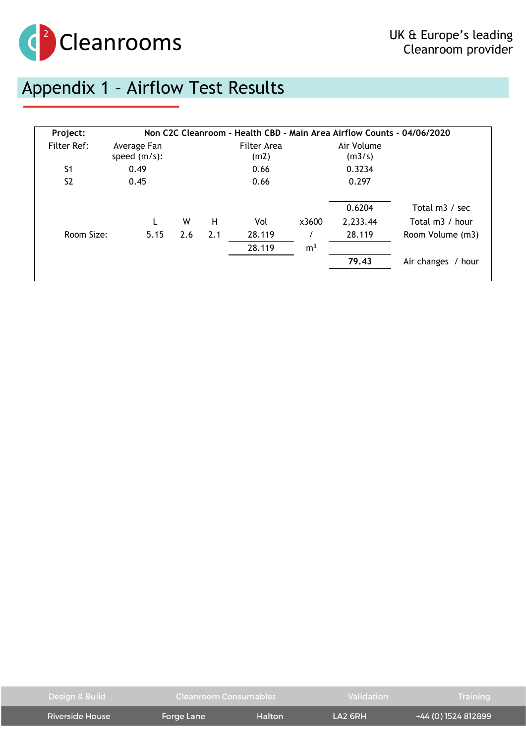

# <span id="page-15-0"></span>Appendix 1 – Airflow Test Results

| Project:       |                                |     |     | Non C2C Cleanroom - Health CBD - Main Area Airflow Counts - 04/06/2020 |                |                      |                    |
|----------------|--------------------------------|-----|-----|------------------------------------------------------------------------|----------------|----------------------|--------------------|
| Filter Ref:    | Average Fan<br>speed $(m/s)$ : |     |     | Filter Area<br>(m2)                                                    |                | Air Volume<br>(m3/s) |                    |
| S <sub>1</sub> | 0.49                           |     |     | 0.66                                                                   |                | 0.3234               |                    |
| S <sub>2</sub> | 0.45                           |     |     | 0.66                                                                   |                | 0.297                |                    |
|                |                                |     |     |                                                                        |                | 0.6204               | Total m3 / sec     |
|                |                                | W   | н   | Vol                                                                    | x3600          | 2,233.44             | Total m3 / hour    |
| Room Size:     | 5.15                           | 2.6 | 2.1 | 28.119                                                                 |                | 28.119               | Room Volume (m3)   |
|                |                                |     |     | 28.119                                                                 | m <sup>3</sup> |                      |                    |
|                |                                |     |     |                                                                        |                | 79.43                | Air changes / hour |
|                |                                |     |     |                                                                        |                |                      |                    |

| Design & Build  | Cleanroom Consumables |        | <b>Validation</b>                 | Training            |
|-----------------|-----------------------|--------|-----------------------------------|---------------------|
| Riverside House | Forge Lane            | Halton | $\overline{1}$ A <sub>2</sub> 6RH | +44 (0) 1524 812899 |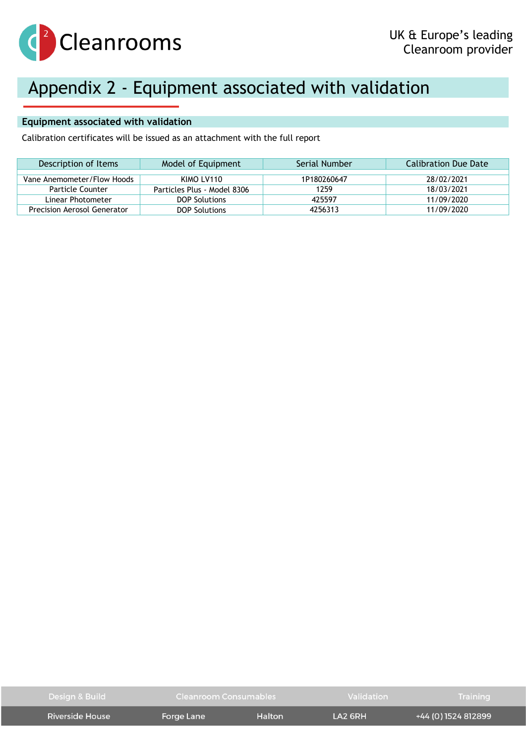

# <span id="page-16-0"></span>Appendix 2 - Equipment associated with validation

### **Equipment associated with validation**

Calibration certificates will be issued as an attachment with the full report

| Description of Items        | Model of Equipment          | Serial Number | Calibration Due Date |
|-----------------------------|-----------------------------|---------------|----------------------|
|                             |                             |               |                      |
| Vane Anemometer/Flow Hoods  | KIMO LV110                  | 1P180260647   | 28/02/2021           |
| Particle Counter            | Particles Plus - Model 8306 | 1259          | 18/03/2021           |
| Linear Photometer           | <b>DOP Solutions</b>        | 425597        | 11/09/2020           |
| Precision Aerosol Generator | <b>DOP Solutions</b>        | 4256313       | 11/09/2020           |

| Design & Build  | Cleanroom Consumables |        | Validation | Training            |
|-----------------|-----------------------|--------|------------|---------------------|
| Riverside House | Forge Lane            | Halton | $IA2$ GRH  | +44 (0) 1524 812899 |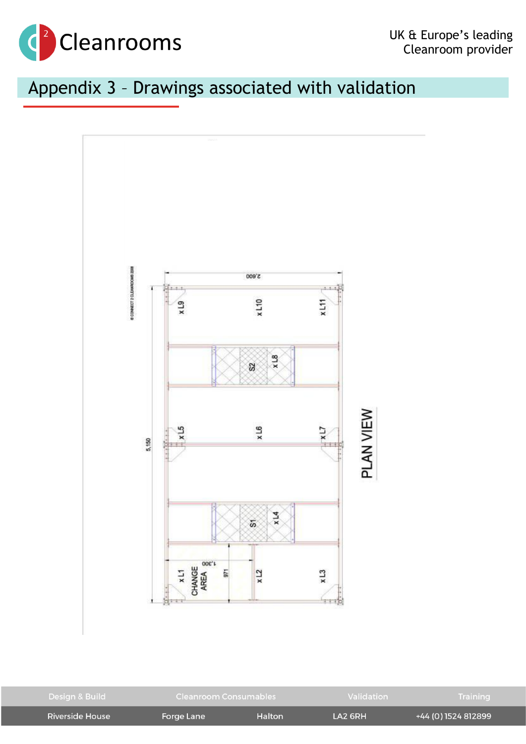

# <span id="page-17-0"></span>Appendix 3 – Drawings associated with validation



| Design & Build  | Cleanroom Consumables |        | Validation                        | Training            |
|-----------------|-----------------------|--------|-----------------------------------|---------------------|
| Riverside House | Forge Lane            | Halton | $\overline{1}$ A <sub>2</sub> 6RH | +44 (0) 1524 812899 |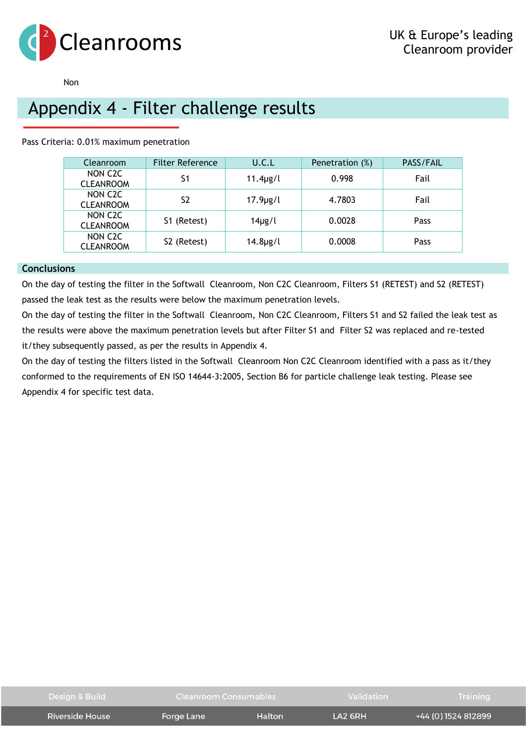

### Non

### <span id="page-18-0"></span>Appendix 4 - Filter challenge results

Pass Criteria: 0.01% maximum penetration

| Cleanroom                                | <b>Filter Reference</b> | U.C.L         | Penetration (%) | PASS/FAIL   |
|------------------------------------------|-------------------------|---------------|-----------------|-------------|
| NON C <sub>2</sub> C<br><b>CLEANROOM</b> | S1                      | $11.4\mu$ g/l | 0.998           | Fail        |
| NON C <sub>2</sub> C<br><b>CLEANROOM</b> | S <sub>2</sub>          | $17.9\mu$ g/l | 4.7803          | Fail        |
| NON C <sub>2</sub> C<br><b>CLEANROOM</b> | S1 (Retest)             | $14\mu g/l$   | 0.0028          | <b>Pass</b> |
| NON C <sub>2</sub> C<br><b>CLEANROOM</b> | S2 (Retest)             | $14.8\mu$ g/l | 0.0008          | <b>Pass</b> |

### **Conclusions**

On the day of testing the filter in the Softwall Cleanroom, Non C2C Cleanroom, Filters S1 (RETEST) and S2 (RETEST) passed the leak test as the results were below the maximum penetration levels.

On the day of testing the filter in the Softwall Cleanroom, Non C2C Cleanroom, Filters S1 and S2 failed the leak test as the results were above the maximum penetration levels but after Filter S1 and Filter S2 was replaced and re-tested it/they subsequently passed, as per the results in Appendix 4.

On the day of testing the filters listed in the Softwall Cleanroom Non C2C Cleanroom identified with a pass as it/they conformed to the requirements of EN ISO 14644-3:2005, Section B6 for particle challenge leak testing. Please see Appendix 4 for specific test data.

| Design & Build  | Cleanroom Consumables |        | Validation          | Training            |
|-----------------|-----------------------|--------|---------------------|---------------------|
| Riverside House | Forge Lane            | Halton | LA <sub>2</sub> 6RH | +44 (0) 1524 812899 |